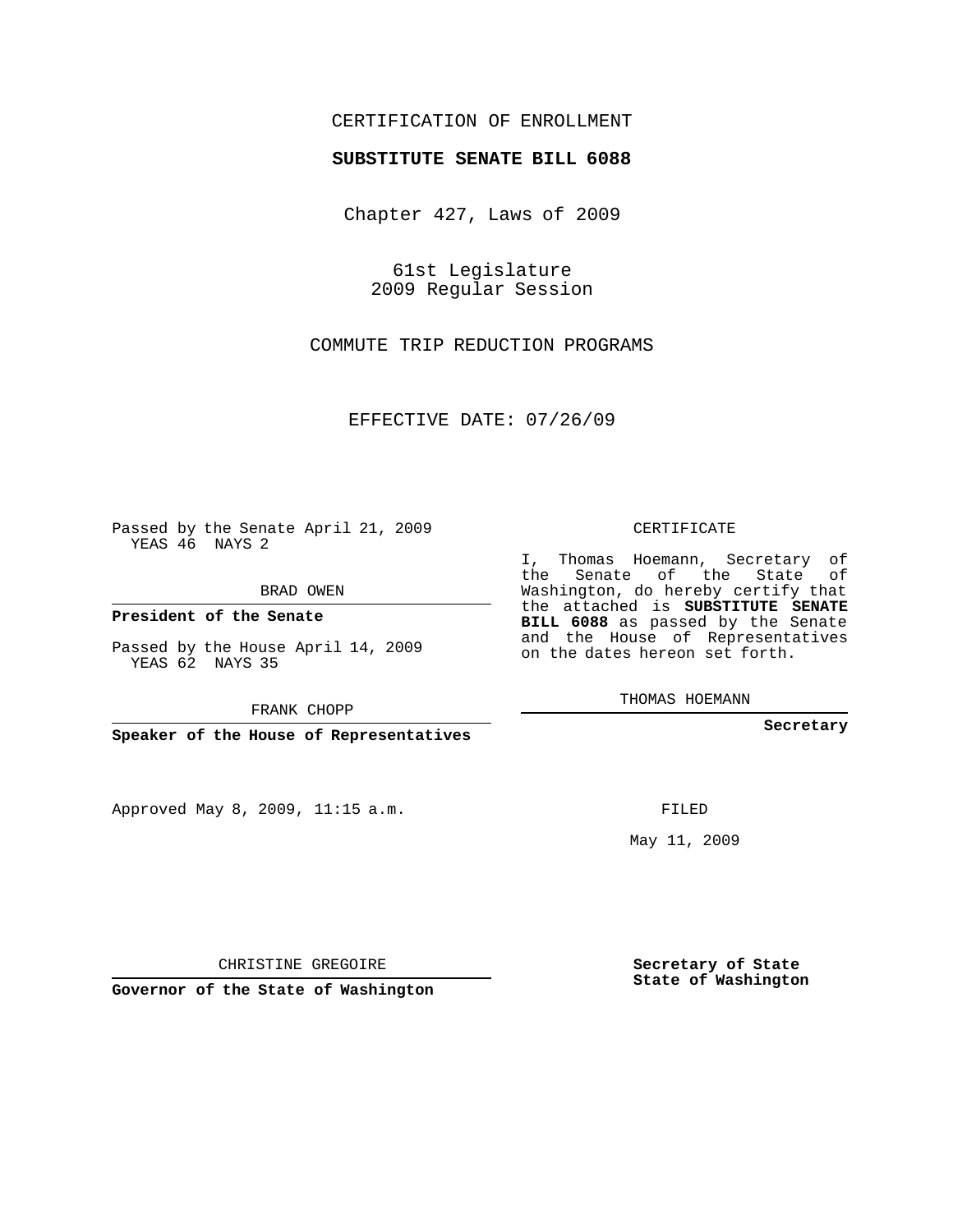## CERTIFICATION OF ENROLLMENT

## **SUBSTITUTE SENATE BILL 6088**

Chapter 427, Laws of 2009

61st Legislature 2009 Regular Session

COMMUTE TRIP REDUCTION PROGRAMS

EFFECTIVE DATE: 07/26/09

Passed by the Senate April 21, 2009 YEAS 46 NAYS 2

BRAD OWEN

**President of the Senate**

Passed by the House April 14, 2009 YEAS 62 NAYS 35

FRANK CHOPP

**Speaker of the House of Representatives**

Approved May 8, 2009, 11:15 a.m.

CERTIFICATE

I, Thomas Hoemann, Secretary of the Senate of the State of Washington, do hereby certify that the attached is **SUBSTITUTE SENATE BILL 6088** as passed by the Senate and the House of Representatives on the dates hereon set forth.

THOMAS HOEMANN

**Secretary**

FILED

May 11, 2009

**Secretary of State State of Washington**

CHRISTINE GREGOIRE

**Governor of the State of Washington**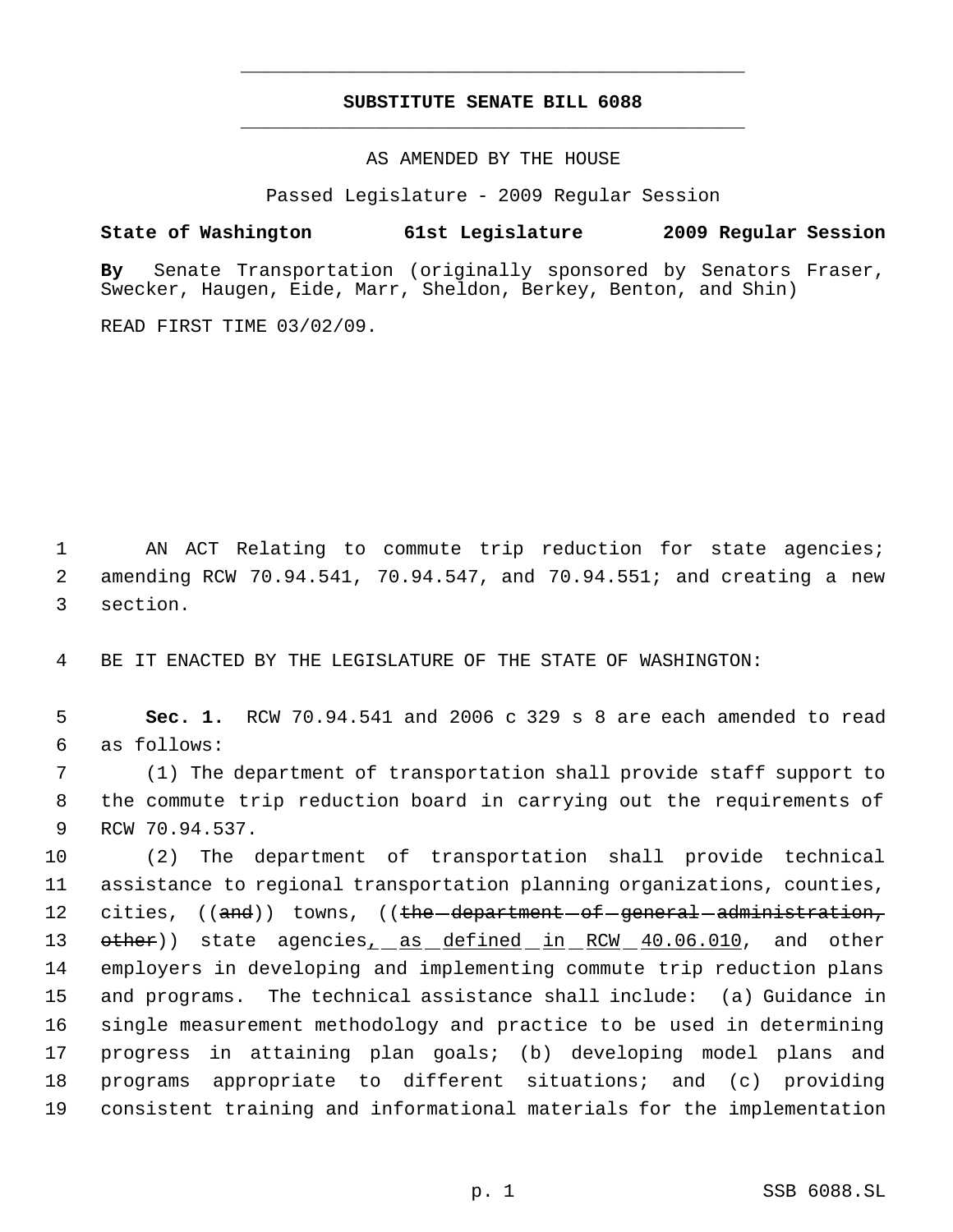## **SUBSTITUTE SENATE BILL 6088** \_\_\_\_\_\_\_\_\_\_\_\_\_\_\_\_\_\_\_\_\_\_\_\_\_\_\_\_\_\_\_\_\_\_\_\_\_\_\_\_\_\_\_\_\_

\_\_\_\_\_\_\_\_\_\_\_\_\_\_\_\_\_\_\_\_\_\_\_\_\_\_\_\_\_\_\_\_\_\_\_\_\_\_\_\_\_\_\_\_\_

AS AMENDED BY THE HOUSE

Passed Legislature - 2009 Regular Session

## **State of Washington 61st Legislature 2009 Regular Session**

**By** Senate Transportation (originally sponsored by Senators Fraser, Swecker, Haugen, Eide, Marr, Sheldon, Berkey, Benton, and Shin)

READ FIRST TIME 03/02/09.

1 AN ACT Relating to commute trip reduction for state agencies; 2 amending RCW 70.94.541, 70.94.547, and 70.94.551; and creating a new 3 section.

4 BE IT ENACTED BY THE LEGISLATURE OF THE STATE OF WASHINGTON:

 5 **Sec. 1.** RCW 70.94.541 and 2006 c 329 s 8 are each amended to read 6 as follows:

 7 (1) The department of transportation shall provide staff support to 8 the commute trip reduction board in carrying out the requirements of 9 RCW 70.94.537.

 (2) The department of transportation shall provide technical assistance to regional transportation planning organizations, counties, 12 cities,  $((and))$  towns,  $((the-dependent-of-general-addimisation,$ 13 other)) state agencies<sub>1</sub> as defined in RCW 40.06.010, and other employers in developing and implementing commute trip reduction plans and programs. The technical assistance shall include: (a) Guidance in single measurement methodology and practice to be used in determining progress in attaining plan goals; (b) developing model plans and programs appropriate to different situations; and (c) providing consistent training and informational materials for the implementation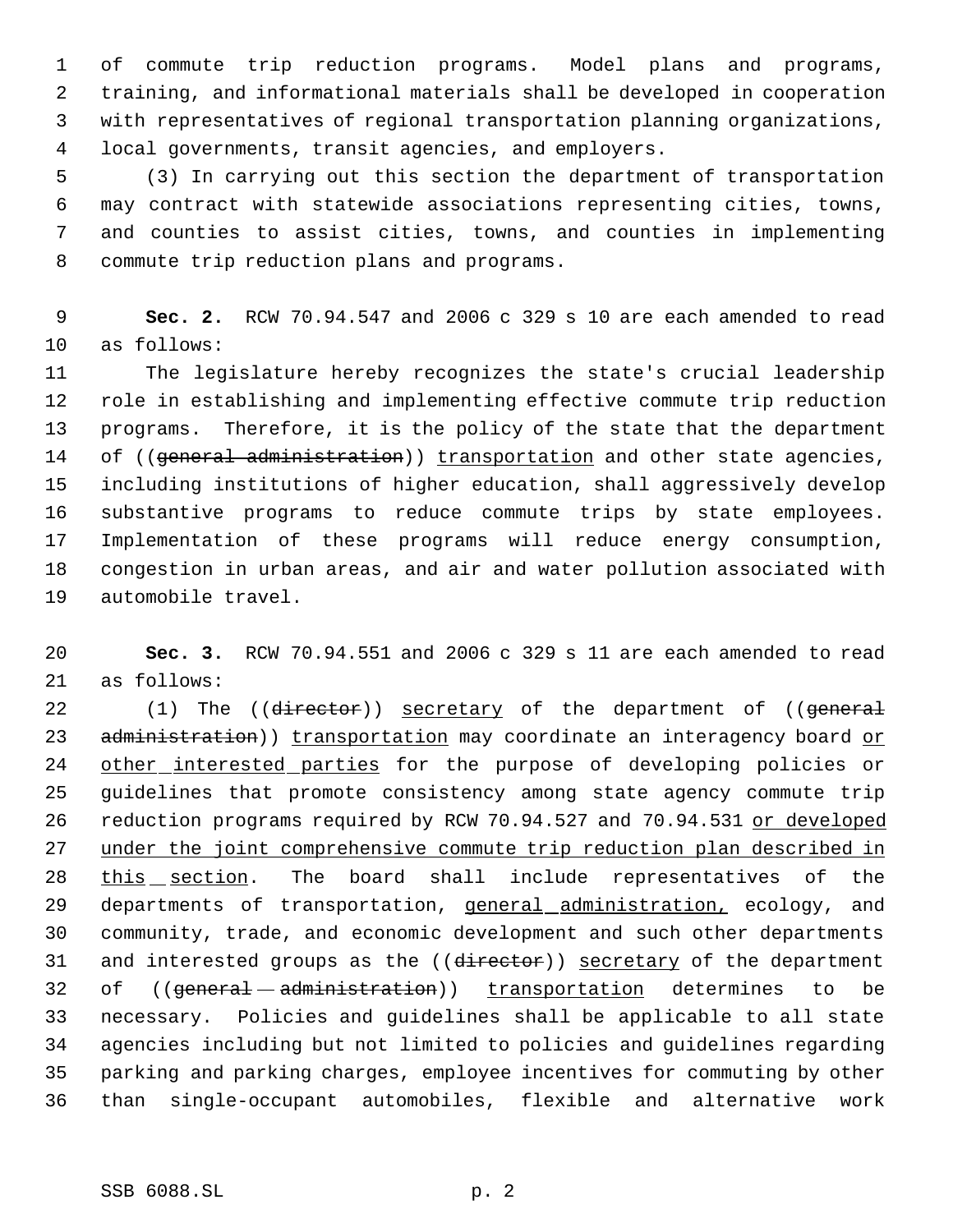of commute trip reduction programs. Model plans and programs, training, and informational materials shall be developed in cooperation with representatives of regional transportation planning organizations, local governments, transit agencies, and employers.

 (3) In carrying out this section the department of transportation may contract with statewide associations representing cities, towns, and counties to assist cities, towns, and counties in implementing commute trip reduction plans and programs.

 **Sec. 2.** RCW 70.94.547 and 2006 c 329 s 10 are each amended to read as follows:

 The legislature hereby recognizes the state's crucial leadership role in establishing and implementing effective commute trip reduction programs. Therefore, it is the policy of the state that the department 14 of ((general administration)) transportation and other state agencies, including institutions of higher education, shall aggressively develop substantive programs to reduce commute trips by state employees. Implementation of these programs will reduce energy consumption, congestion in urban areas, and air and water pollution associated with automobile travel.

 **Sec. 3.** RCW 70.94.551 and 2006 c 329 s 11 are each amended to read as follows:

22 (1) The ((director)) secretary of the department of ((general 23 administration)) transportation may coordinate an interagency board or 24 other interested parties for the purpose of developing policies or guidelines that promote consistency among state agency commute trip 26 reduction programs required by RCW 70.94.527 and 70.94.531 or developed under the joint comprehensive commute trip reduction plan described in 28 this section. The board shall include representatives of the 29 departments of transportation, <u>general administration,</u> ecology, and community, trade, and economic development and such other departments 31 and interested groups as the ((director)) secretary of the department 32 of ((general administration)) transportation determines to be necessary. Policies and guidelines shall be applicable to all state agencies including but not limited to policies and guidelines regarding parking and parking charges, employee incentives for commuting by other than single-occupant automobiles, flexible and alternative work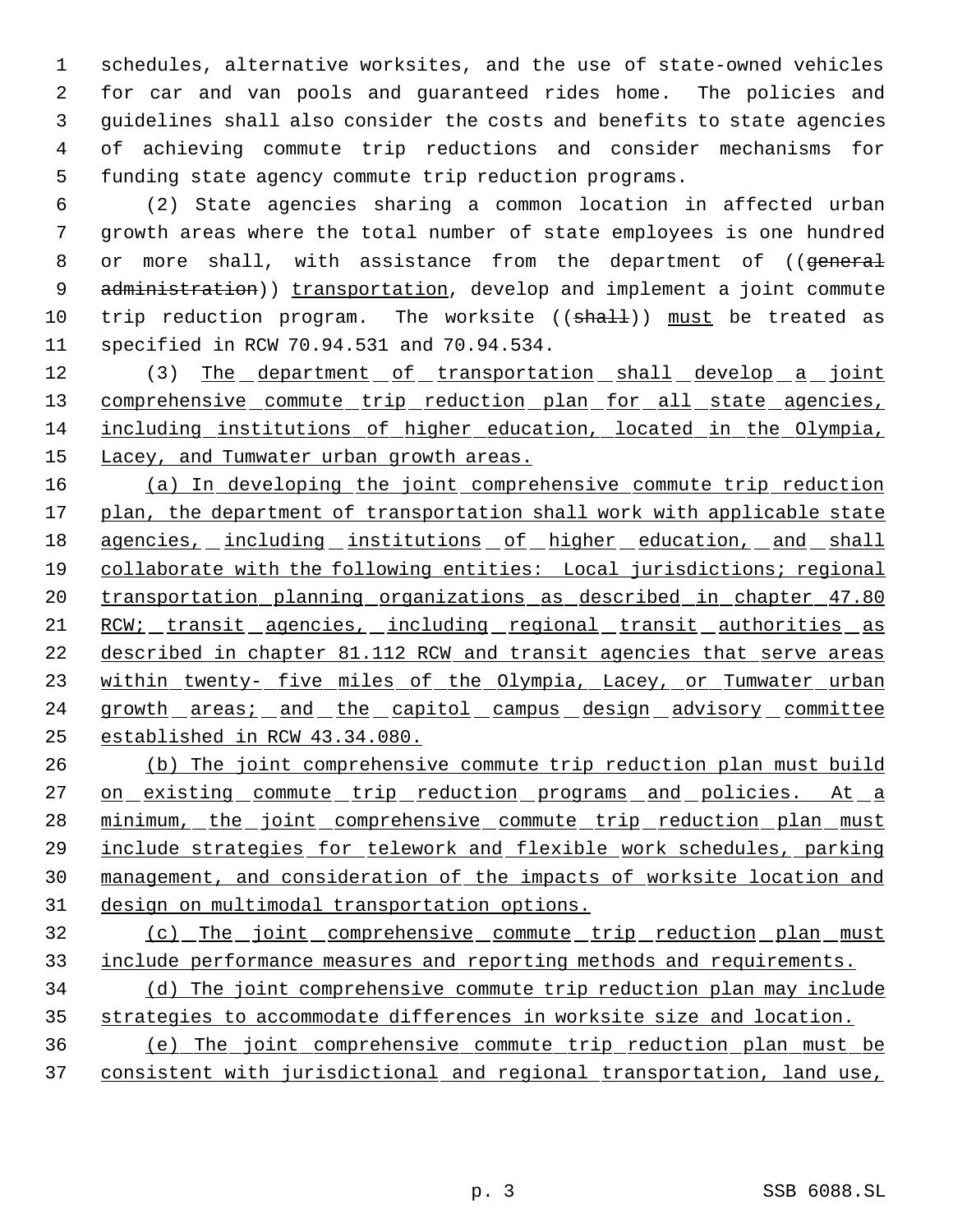schedules, alternative worksites, and the use of state-owned vehicles for car and van pools and guaranteed rides home. The policies and guidelines shall also consider the costs and benefits to state agencies of achieving commute trip reductions and consider mechanisms for funding state agency commute trip reduction programs.

 (2) State agencies sharing a common location in affected urban growth areas where the total number of state employees is one hundred 8 or more shall, with assistance from the department of ((general 9 administration)) transportation, develop and implement a joint commute 10 trip reduction program. The worksite ((shall)) must be treated as specified in RCW 70.94.531 and 70.94.534.

12 (3) The department of transportation shall develop a joint 13 comprehensive commute trip reduction plan for all state agencies, including institutions of higher education, located in the Olympia, 15 Lacey, and Tumwater urban growth areas.

 (a) In developing the joint comprehensive commute trip reduction 17 plan, the department of transportation shall work with applicable state 18 agencies, including institutions of higher education, and shall collaborate with the following entities: Local jurisdictions; regional 20 transportation planning organizations as described in chapter 47.80 RCW; transit agencies, including regional transit authorities as described in chapter 81.112 RCW and transit agencies that serve areas 23 within twenty- five miles of the Olympia, Lacey, or Tumwater urban 24 growth areas; and the capitol campus design advisory committee established in RCW 43.34.080.

 (b) The joint comprehensive commute trip reduction plan must build 27 on existing commute trip reduction programs and policies. At a 28 minimum, the joint comprehensive commute trip reduction plan must include strategies for telework and flexible work schedules, parking management, and consideration of the impacts of worksite location and design on multimodal transportation options.

 (c) The joint comprehensive commute trip reduction plan must include performance measures and reporting methods and requirements.

 (d) The joint comprehensive commute trip reduction plan may include strategies to accommodate differences in worksite size and location.

 (e) The joint comprehensive commute trip reduction plan must be consistent with jurisdictional and regional transportation, land use,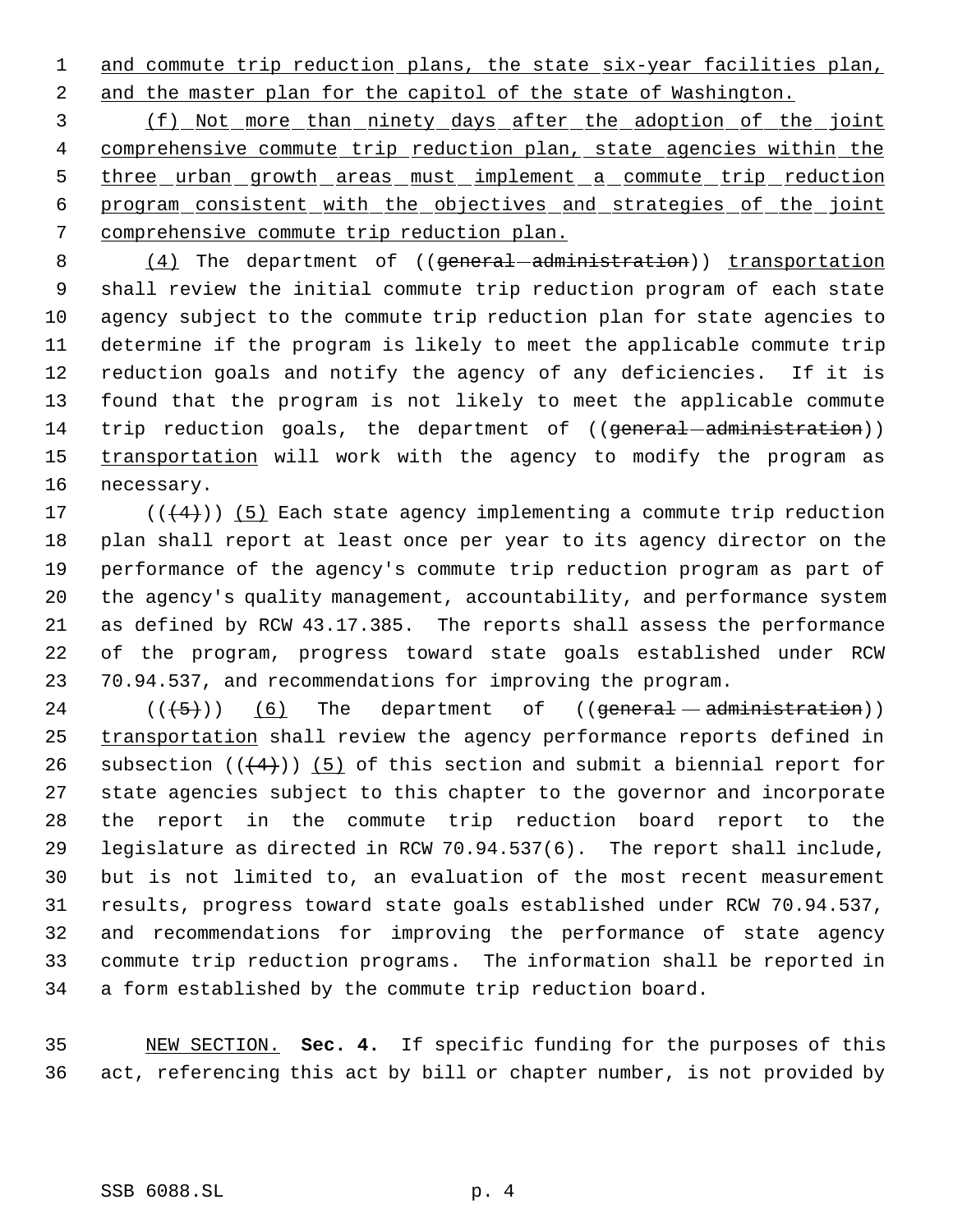1 and commute trip reduction plans, the state six-year facilities plan,

and the master plan for the capitol of the state of Washington.

 (f) Not more than ninety days after the adoption of the joint 4 comprehensive commute trip reduction plan, state agencies within the 5 three urban growth areas must implement a commute trip reduction program consistent with the objectives and strategies of the joint comprehensive commute trip reduction plan.

8 (4) The department of ((general -administration)) transportation shall review the initial commute trip reduction program of each state agency subject to the commute trip reduction plan for state agencies to determine if the program is likely to meet the applicable commute trip reduction goals and notify the agency of any deficiencies. If it is found that the program is not likely to meet the applicable commute 14 trip reduction goals, the department of ((general administration)) 15 transportation will work with the agency to modify the program as necessary.

 $((+4))$  (5) Each state agency implementing a commute trip reduction plan shall report at least once per year to its agency director on the performance of the agency's commute trip reduction program as part of the agency's quality management, accountability, and performance system as defined by RCW 43.17.385. The reports shall assess the performance of the program, progress toward state goals established under RCW 70.94.537, and recommendations for improving the program.

 (( $(5)$ )) (6) The department of ((general administration)) 25 transportation shall review the agency performance reports defined in 26 subsection  $((+4))$  (5) of this section and submit a biennial report for state agencies subject to this chapter to the governor and incorporate the report in the commute trip reduction board report to the legislature as directed in RCW 70.94.537(6). The report shall include, but is not limited to, an evaluation of the most recent measurement results, progress toward state goals established under RCW 70.94.537, and recommendations for improving the performance of state agency commute trip reduction programs. The information shall be reported in a form established by the commute trip reduction board.

 NEW SECTION. **Sec. 4.** If specific funding for the purposes of this act, referencing this act by bill or chapter number, is not provided by